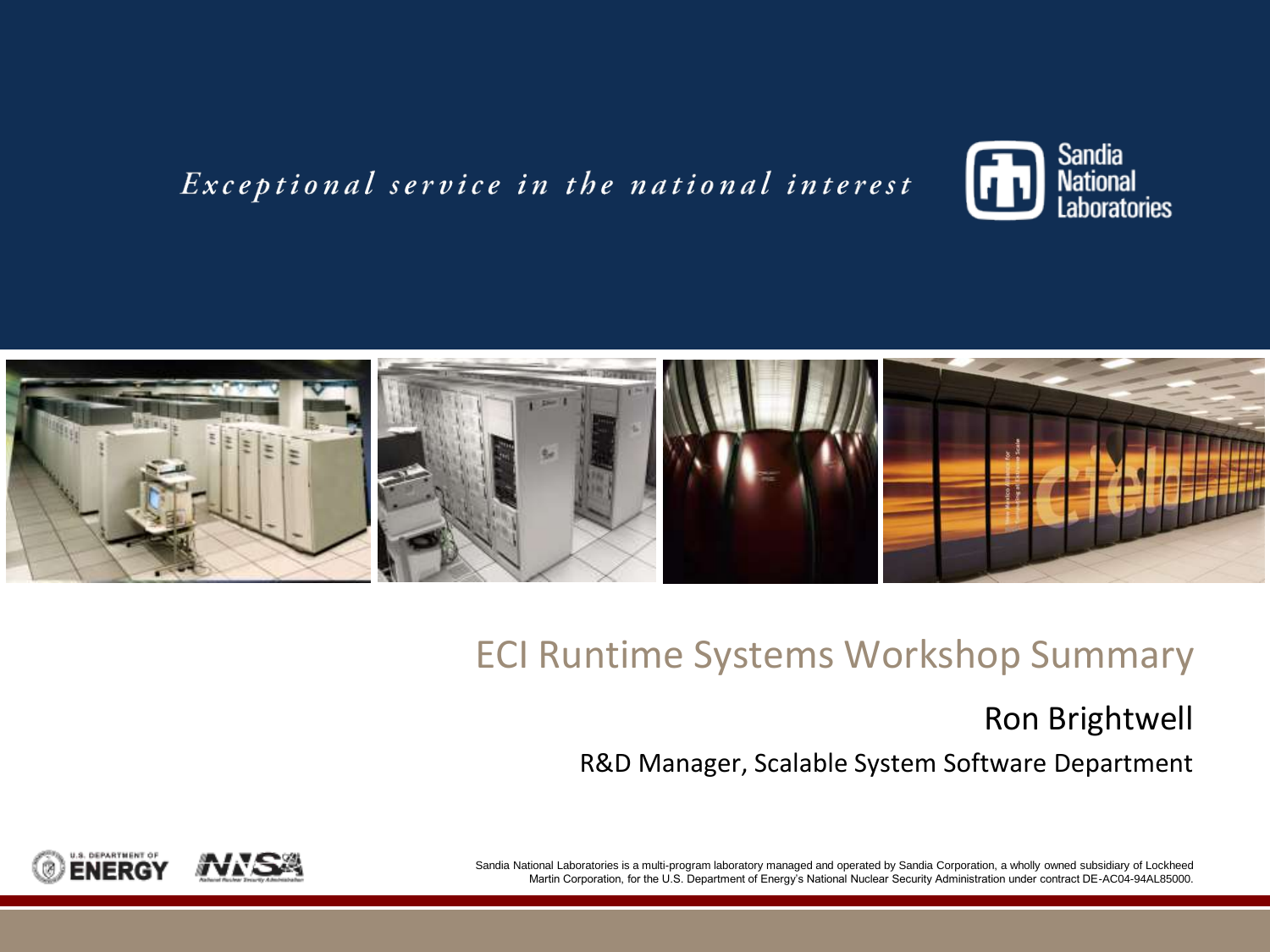#### Exceptional service in the national interest





#### ECI Runtime Systems Workshop Summary

#### Ron Brightwell R&D Manager, Scalable System Software Department



 Sandia National Laboratories is a multi-program laboratory managed and operated by Sandia Corporation, a wholly owned subsidiary of Lockheed Martin Corporation, for the U.S. Department of Energy's National Nuclear Security Administration under contract DE-AC04-94AL85000.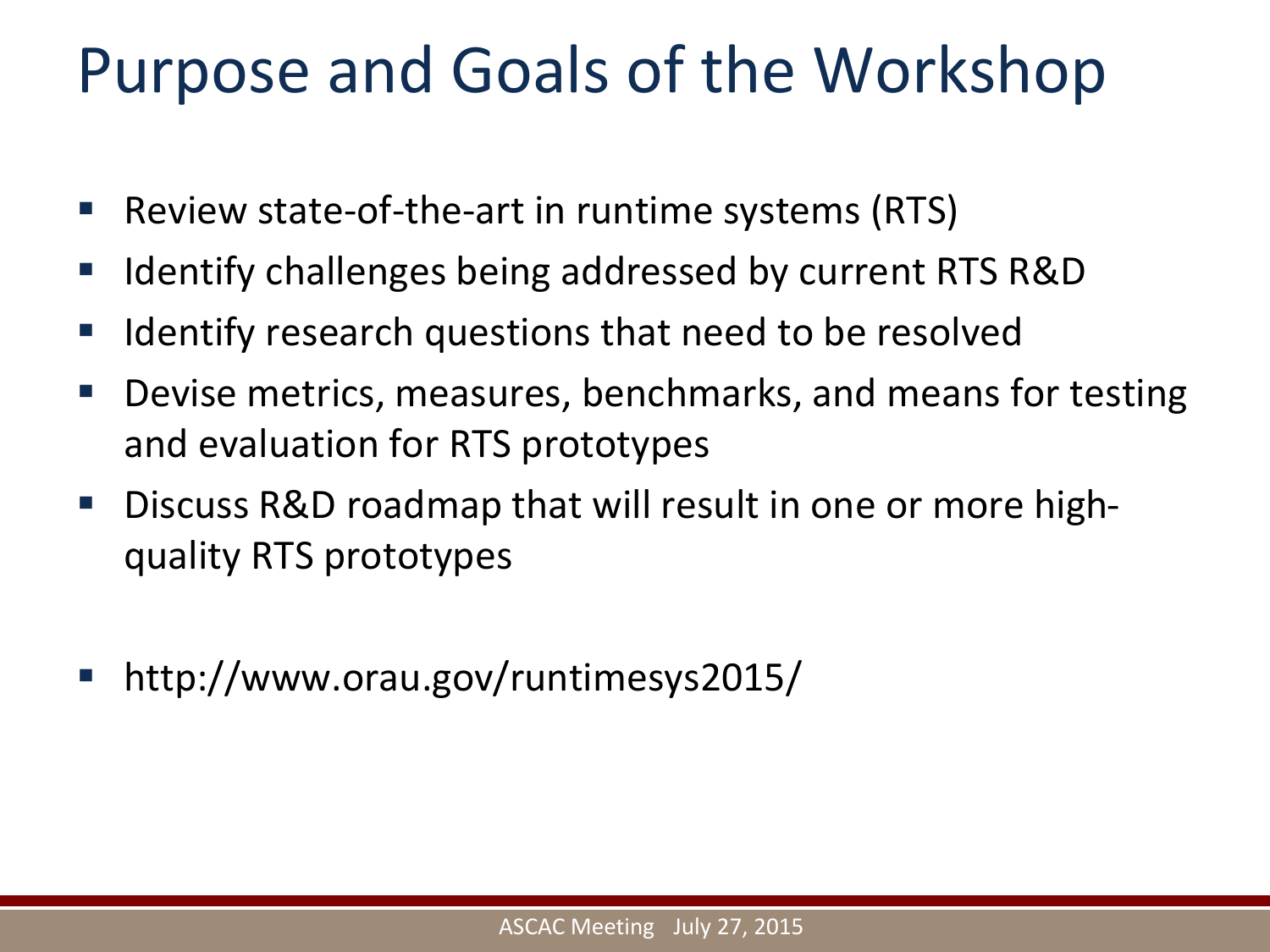#### Purpose and Goals of the Workshop

- Review state-of-the-art in runtime systems (RTS)
- Identify challenges being addressed by current RTS R&D
- Identify research questions that need to be resolved
- Devise metrics, measures, benchmarks, and means for testing and evaluation for RTS prototypes
- Discuss R&D roadmap that will result in one or more highquality RTS prototypes
- [http://www.orau.gov/runtimesys2015/](http://www.orau.gov/runtimesys2015)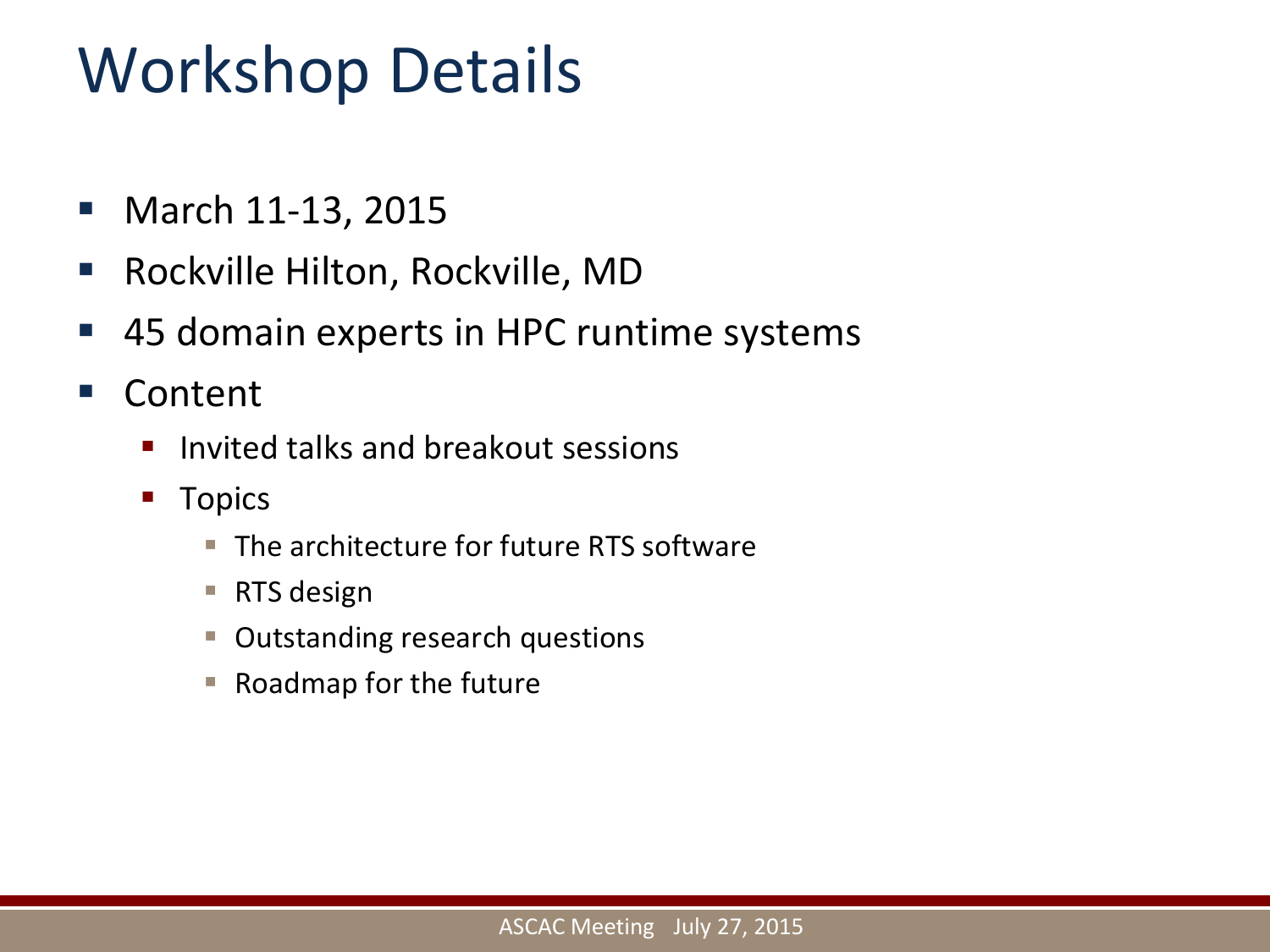#### Workshop Details

- **March 11-13, 2015**
- Rockville Hilton, Rockville, MD
- 45 domain experts in HPC runtime systems
- Content
	- **Invited talks and breakout sessions**
	- **T**opics
		- The architecture for future RTS software
		- RTS design
		- **Outstanding research questions**
		- Roadmap for the future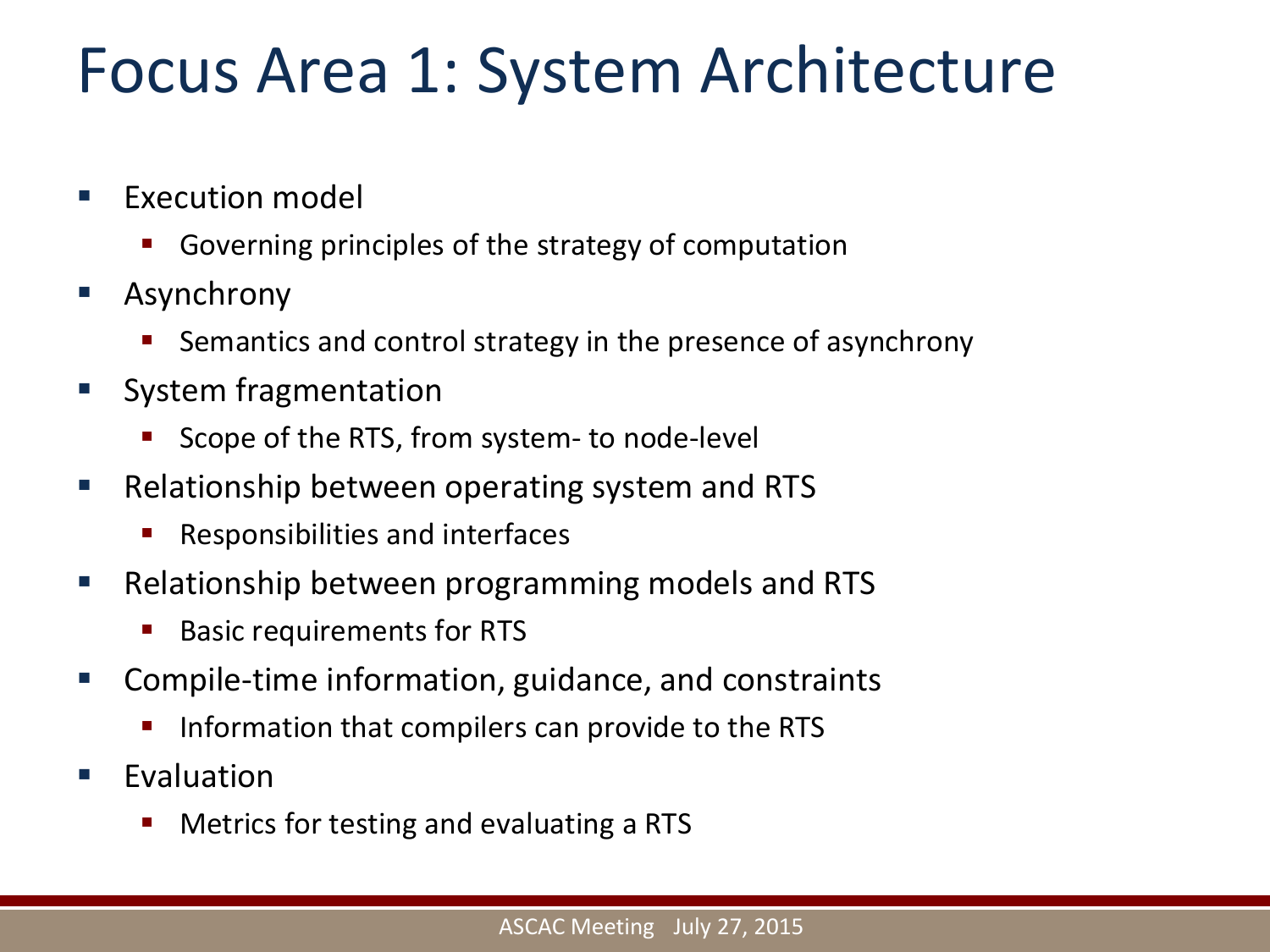#### Focus Area 1: System Architecture

- **Execution model** 
	- Governing principles of the strategy of computation
- Asynchrony
	- **Semantics and control strategy in the presence of asynchrony**
- **System fragmentation** 
	- Scope of the RTS, from system- to node-level
- Relationship between operating system and RTS
	- **Responsibilities and interfaces**
- Relationship between programming models and RTS
	- Basic requirements for RTS
- Compile-time information, guidance, and constraints
	- Information that compilers can provide to the RTS
- **Evaluation** 
	- Metrics for testing and evaluating a RTS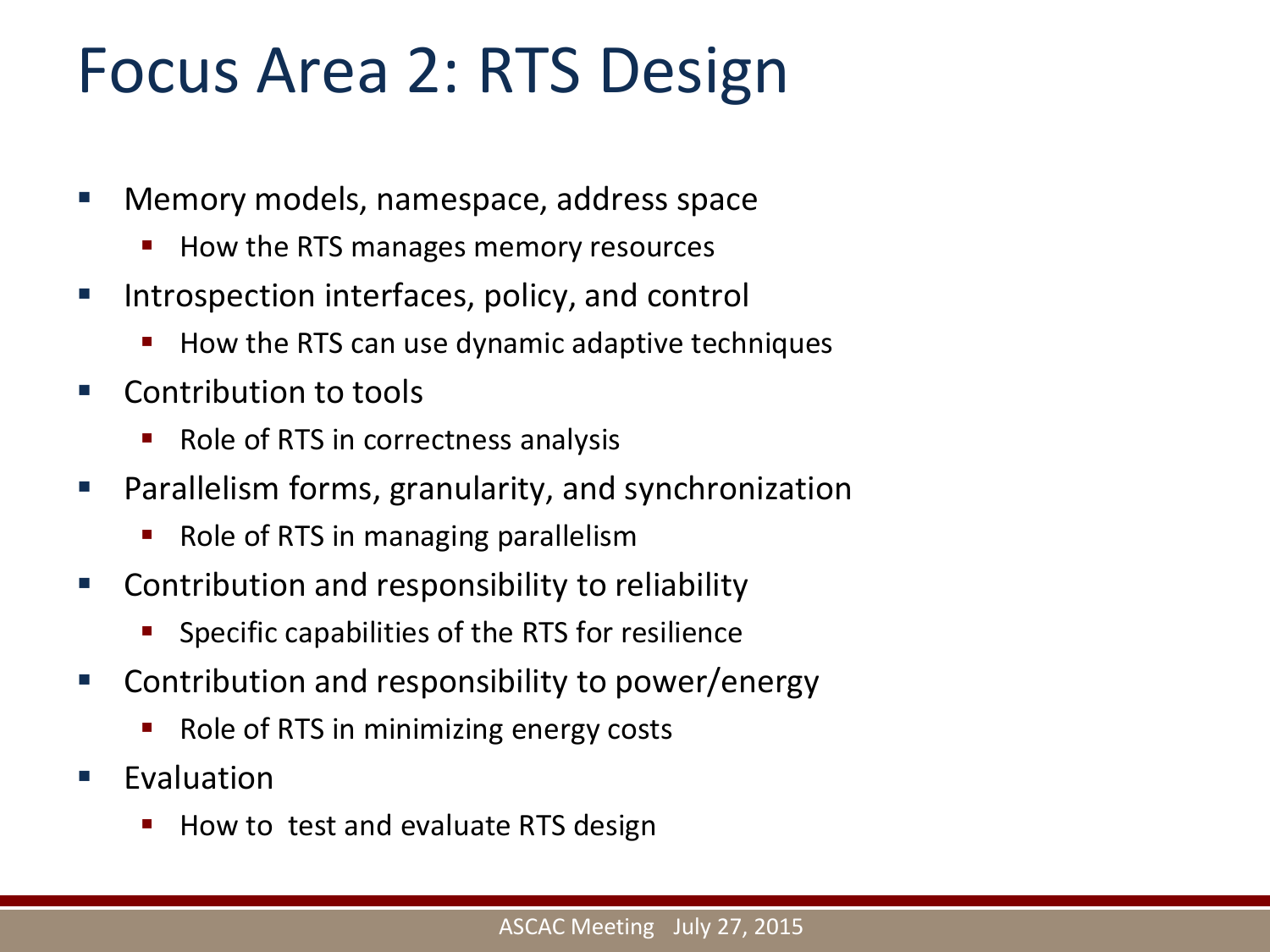#### Focus Area 2: RTS Design

- Memory models, namespace, address space
	- How the RTS manages memory resources
- **Introspection interfaces, policy, and control** 
	- How the RTS can use dynamic adaptive techniques
- Contribution to tools
	- Role of RTS in correctness analysis
- **Parallelism forms, granularity, and synchronization** 
	- Role of RTS in managing parallelism
- **EX Contribution and responsibility to reliability** 
	- **Specific capabilities of the RTS for resilience**
- Contribution and responsibility to power/energy
	- Role of RTS in minimizing energy costs
- Evaluation
	- How to test and evaluate RTS design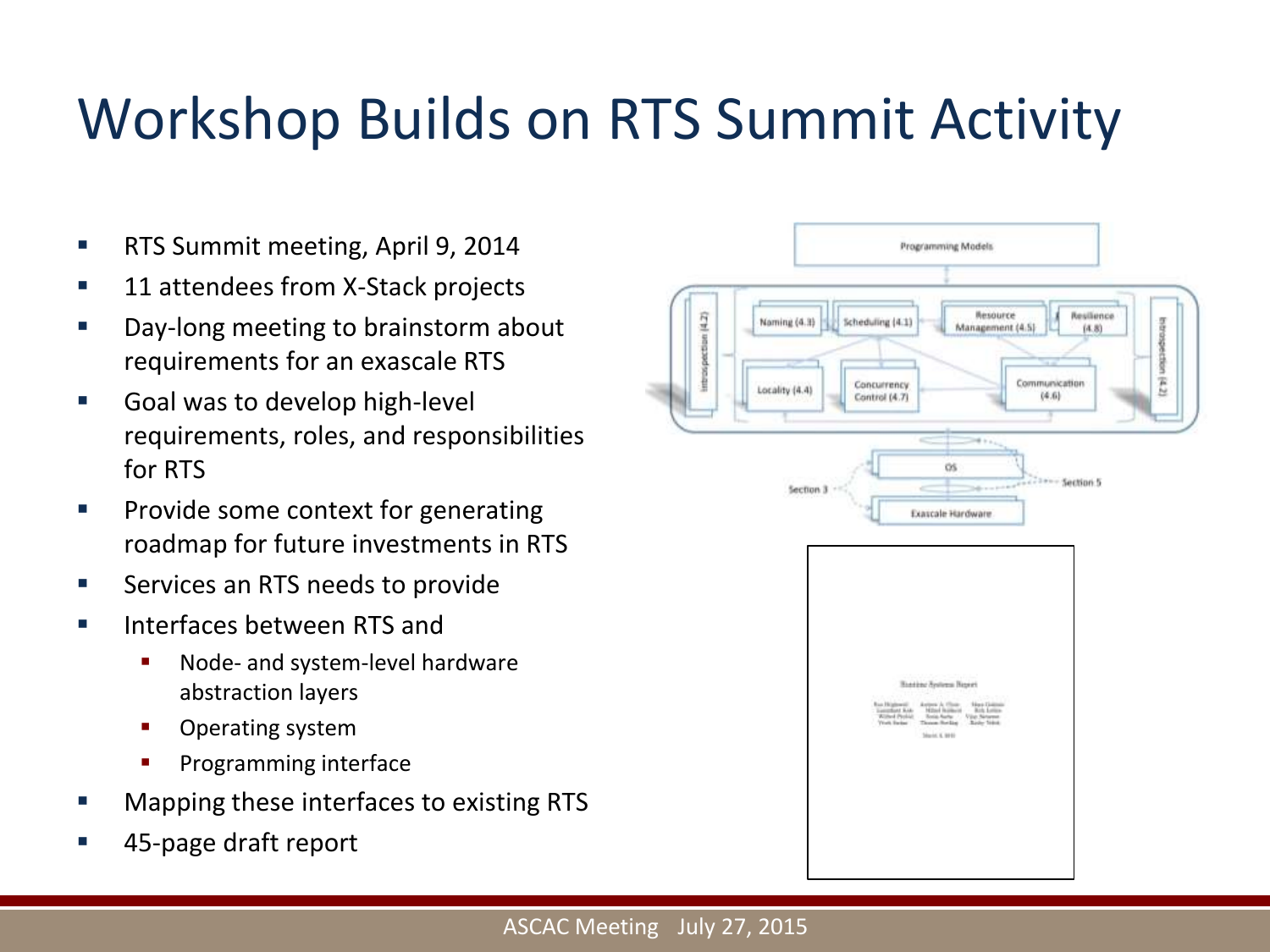#### Workshop Builds on RTS Summit Activity

- **RTS Summit meeting, April 9, 2014**
- 11 attendees from X-Stack projects
- **Day-long meeting to brainstorm about** requirements for an exascale RTS
- **Goal was to develop high-level** requirements, roles, and responsibilities for RTS
- roadmap for future investments in RTS **Provide some context for generating**
- Services an RTS needs to provide
- **Interfaces between RTS and** 
	- Node- and system-level hardware abstraction layers
	- **•** Operating system
	- Programming interface
- Mapping these interfaces to existing RTS
- 45-page draft report

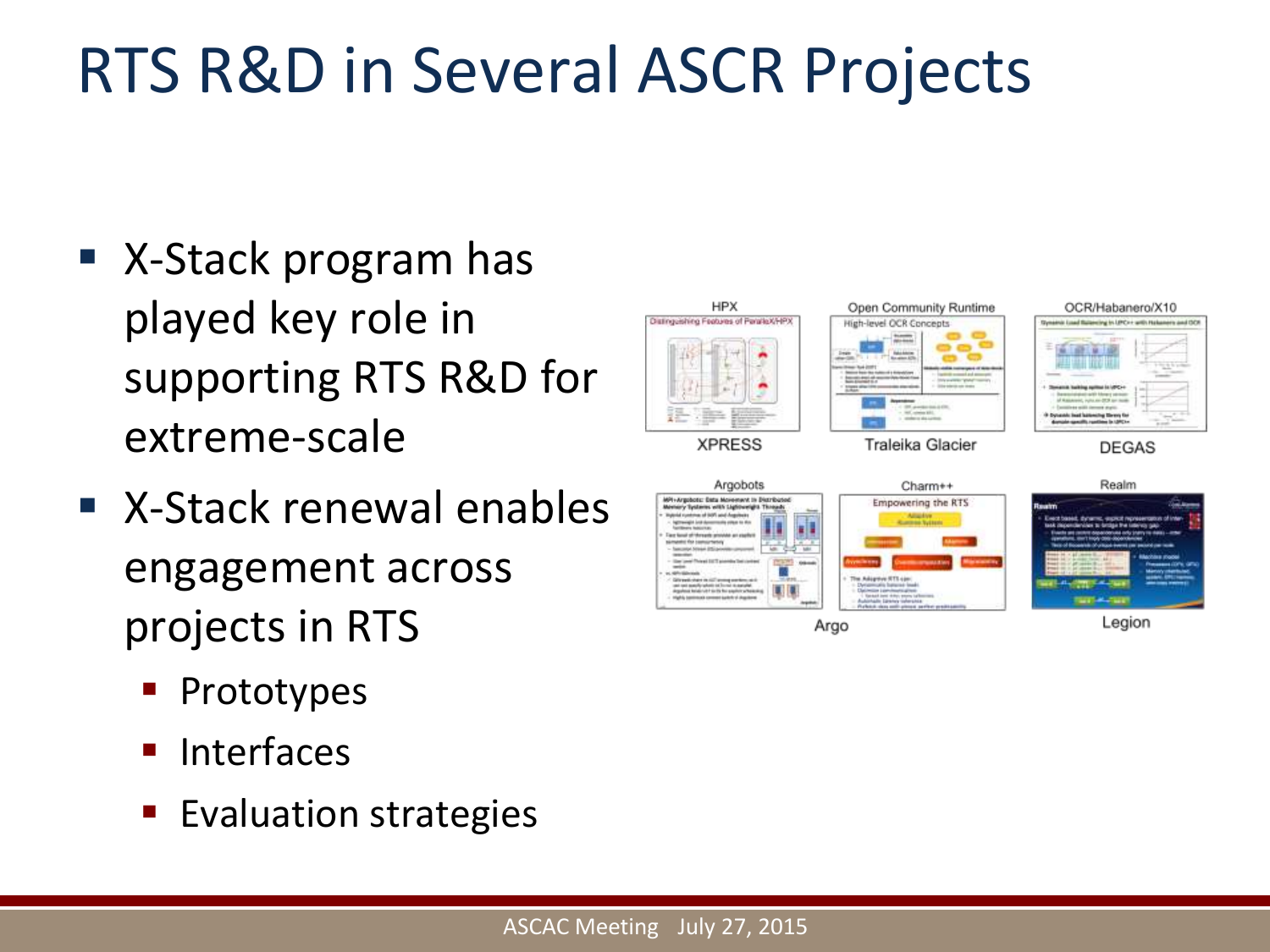### RTS R&D in Several ASCR Projects

- X-Stack program has played key role in supporting RTS R&D for extreme-scale
- X-Stack renewal enables engagement across projects in RTS
	- **Prototypes**
	- $\blacksquare$  Interfaces
	- **Evaluation strategies**



Argo

Legion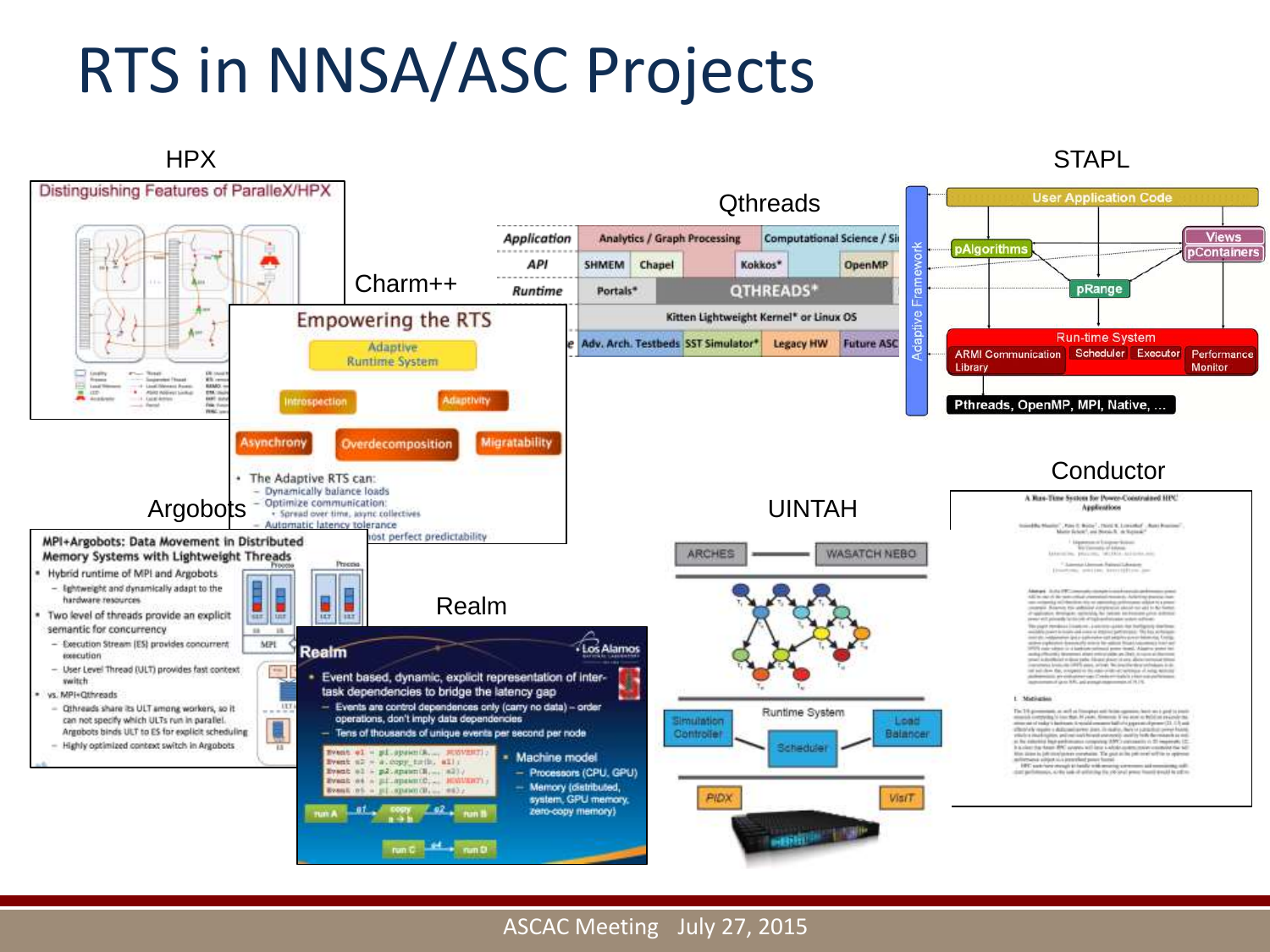### RTS in NNSA/ASC Projects



#### - ASCAC Meeting July 27, 2015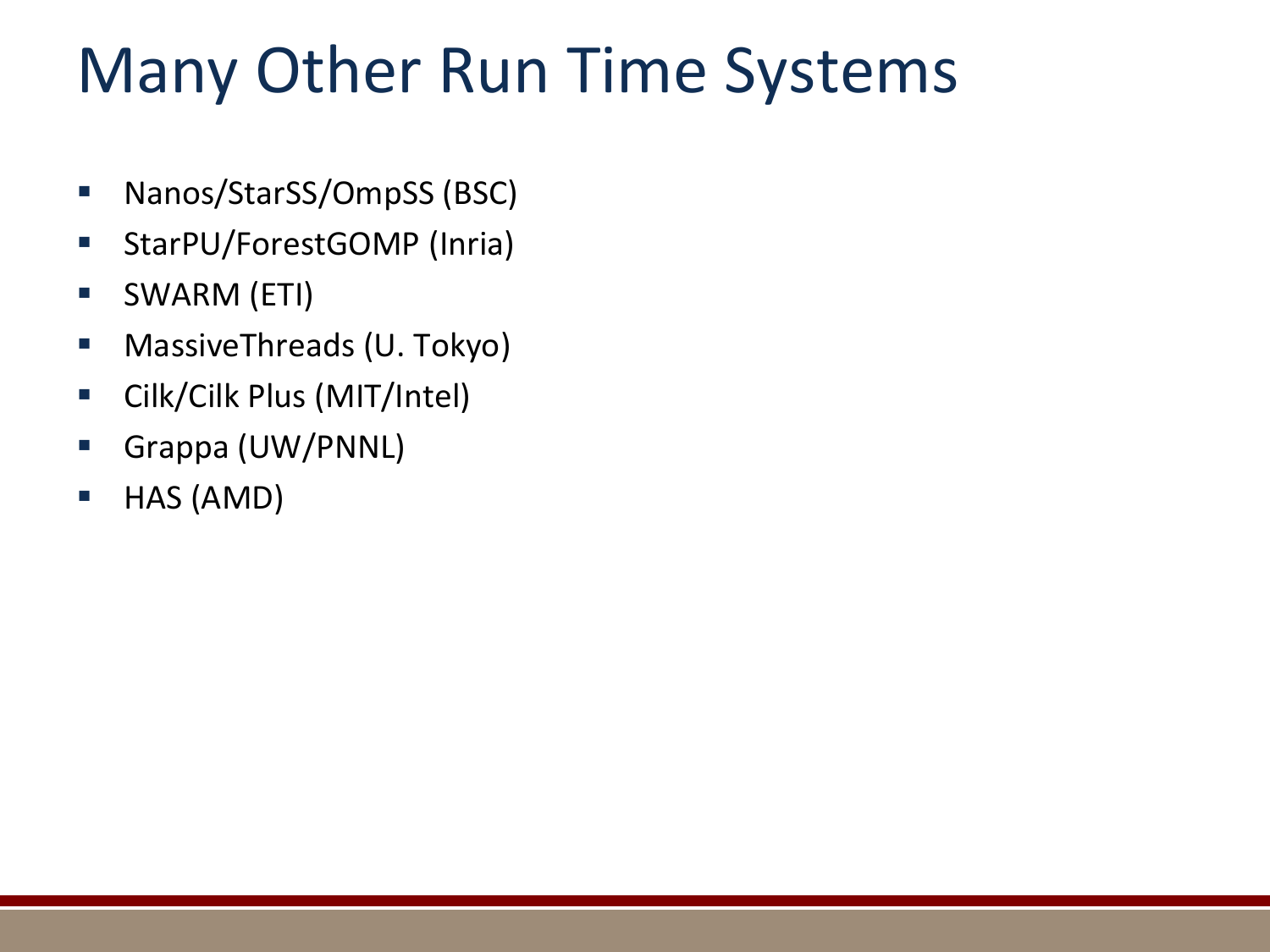### Many Other Run Time Systems

- Nanos/StarSS/OmpSS (BSC)
- **StarPU/ForestGOMP (Inria)**
- SWARM (ETI)
- **NassiveThreads (U. Tokyo)**
- Cilk/Cilk Plus (MIT/Intel)
- Grappa (UW/PNNL)
- HAS (AMD)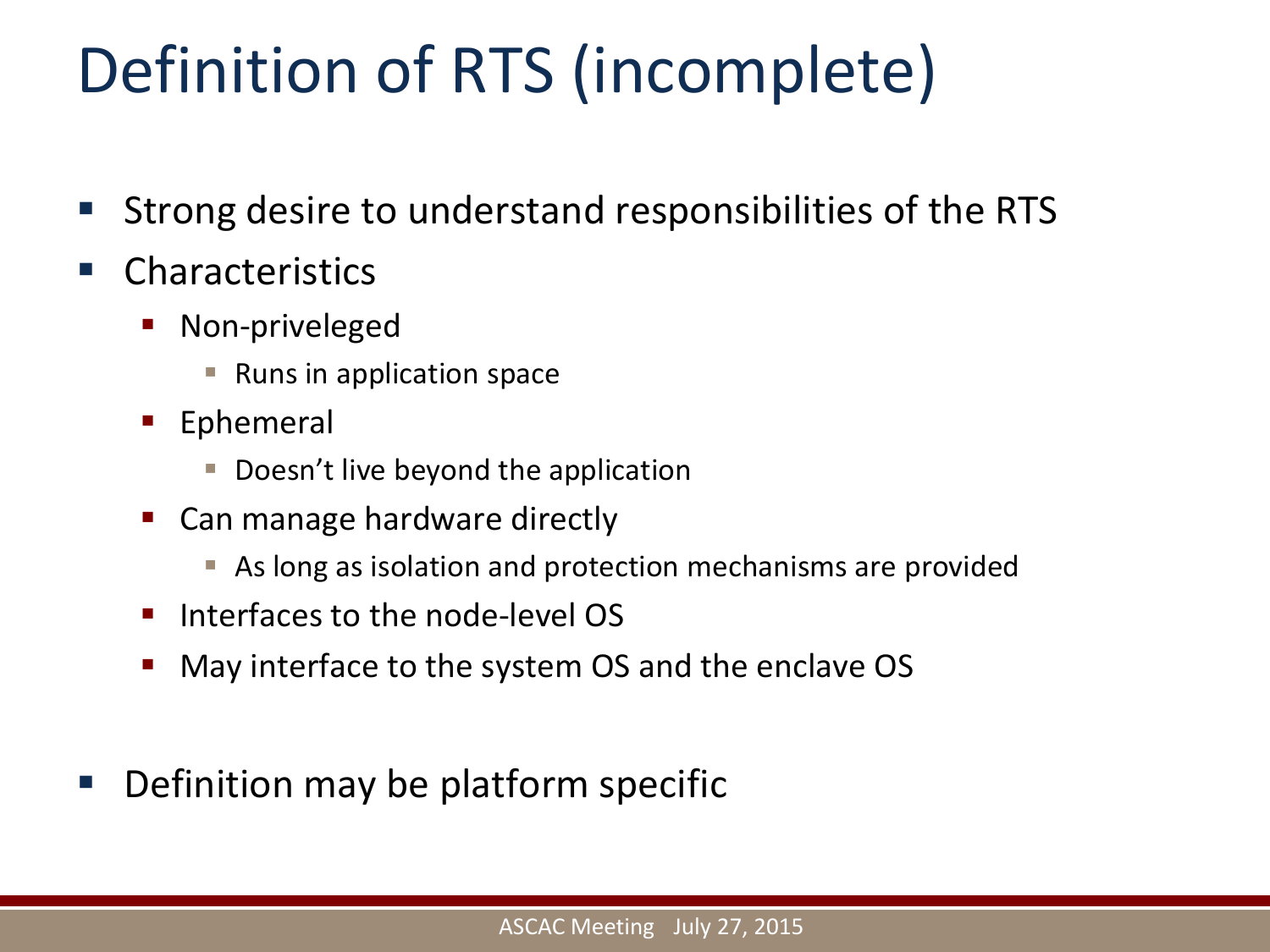# Definition of RTS (incomplete)

- Strong desire to understand responsibilities of the RTS
- **E** Characteristics
	- Non-priveleged
		- Runs in application space
	- **Ephemeral** 
		- Doesn't live beyond the application
	- Can manage hardware directly
		- As long as isolation and protection mechanisms are provided
	- **Interfaces to the node-level OS**
	- May interface to the system OS and the enclave OS
- Definition may be platform specific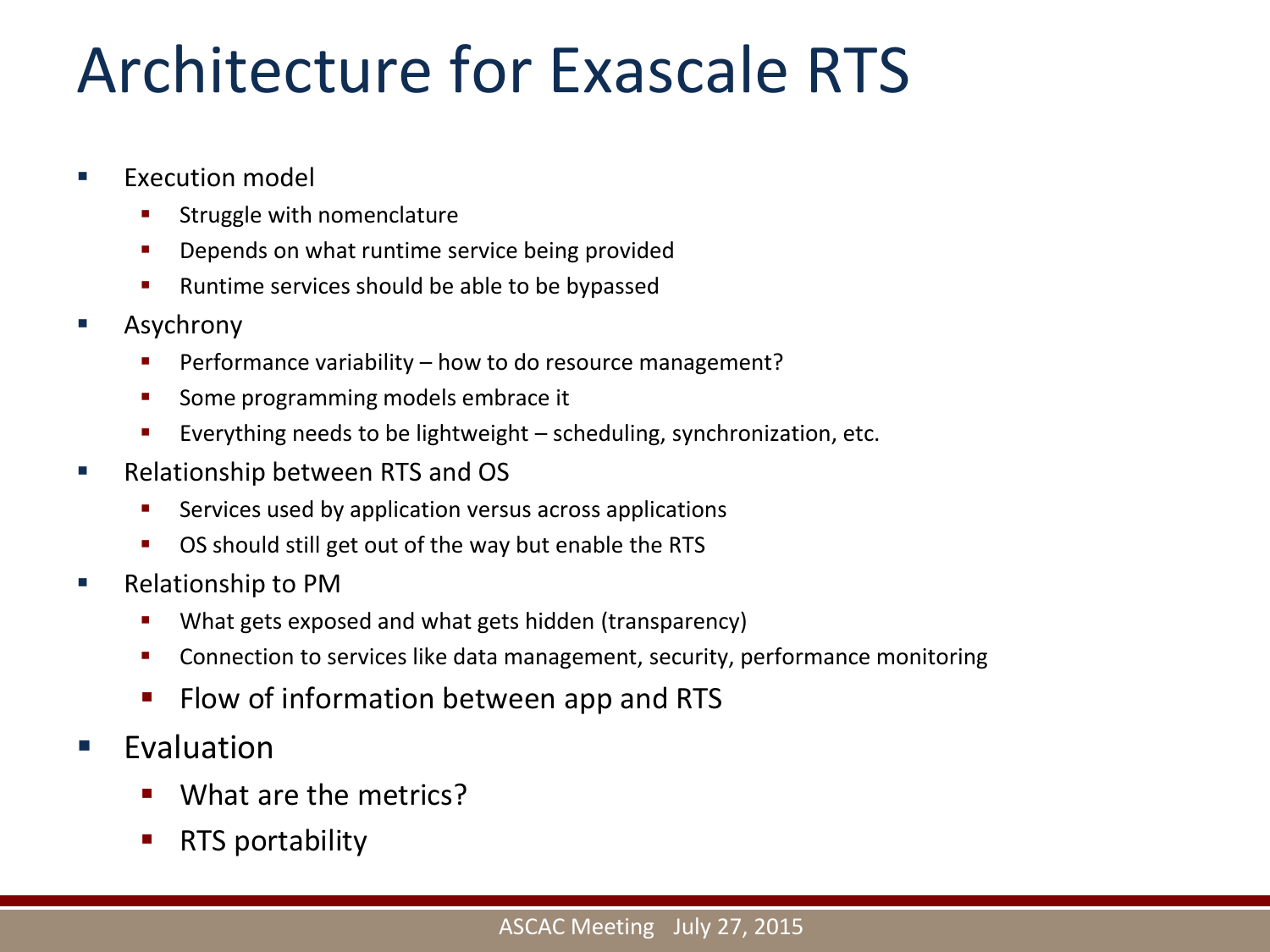#### Architecture for Exascale RTS

- **EXECUTION model** 
	- **Struggle with nomenclature**
	- **•** Depends on what runtime service being provided
	- **Runtime services should be able to be bypassed**
- Asychrony
	- **Performance variability how to do resource management?**
	- **Some programming models embrace it**
	- Everything needs to be lightweight  $-$  scheduling, synchronization, etc.
- **Relationship between RTS and OS** 
	- **EXECT:** Services used by application versus across applications
	- OS should still get out of the way but enable the RTS
- Relationship to PM
	- **What gets exposed and what gets hidden (transparency)**
	- **EXP** Connection to services like data management, security, performance monitoring
	- **Filow of information between app and RTS**
- Evaluation
	- What are the metrics?
	- RTS portability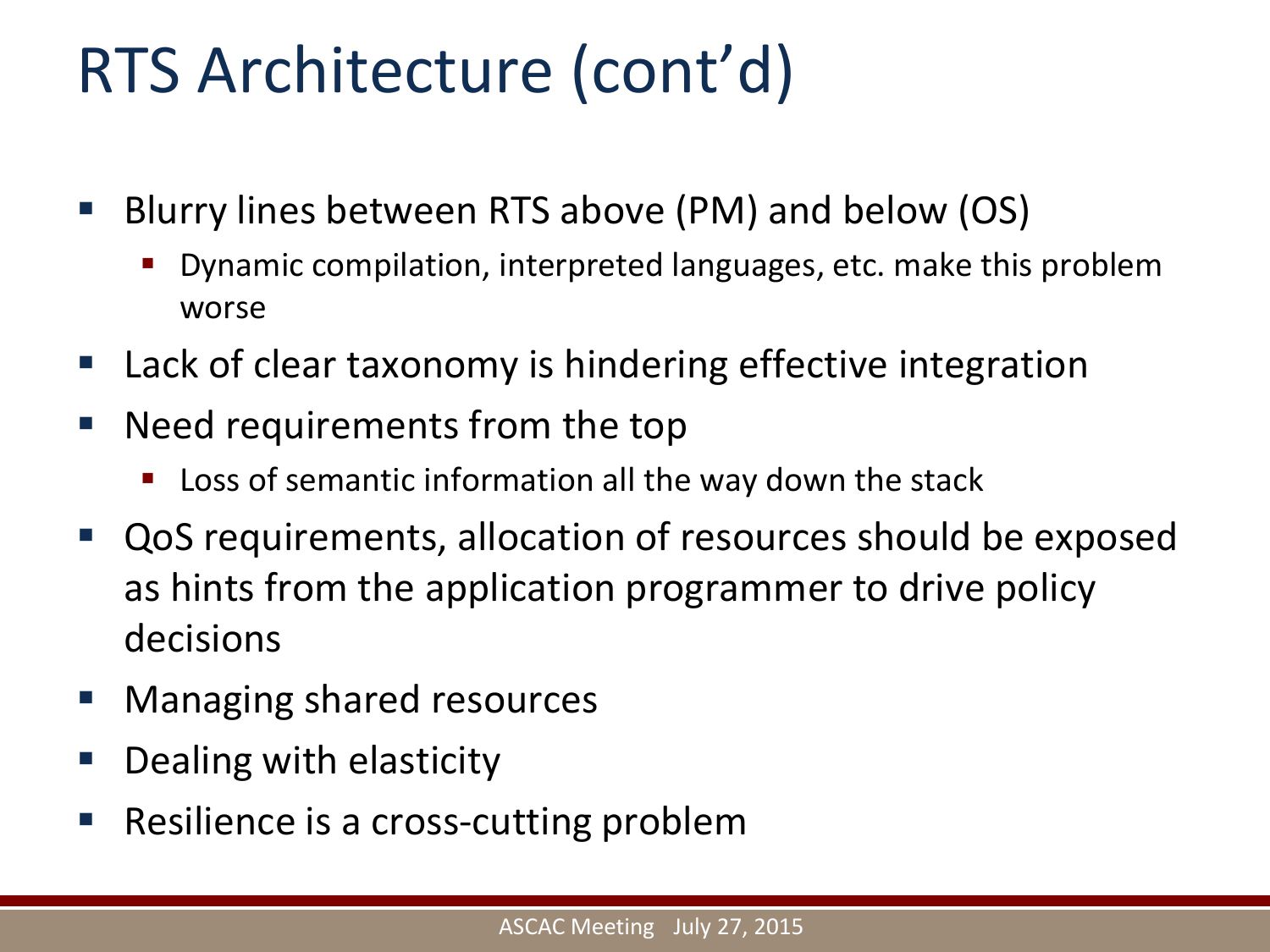### RTS Architecture (cont'd)

- Blurry lines between RTS above (PM) and below (OS)
	- Dynamic compilation, interpreted languages, etc. make this problem worse
- **Lack of clear taxonomy is hindering effective integration**
- Need requirements from the top
	- Loss of semantic information all the way down the stack
- as hints from the application programmer to drive policy QoS requirements, allocation of resources should be exposed decisions
- **Nanaging shared resources**
- Dealing with elasticity
- Resilience is a cross-cutting problem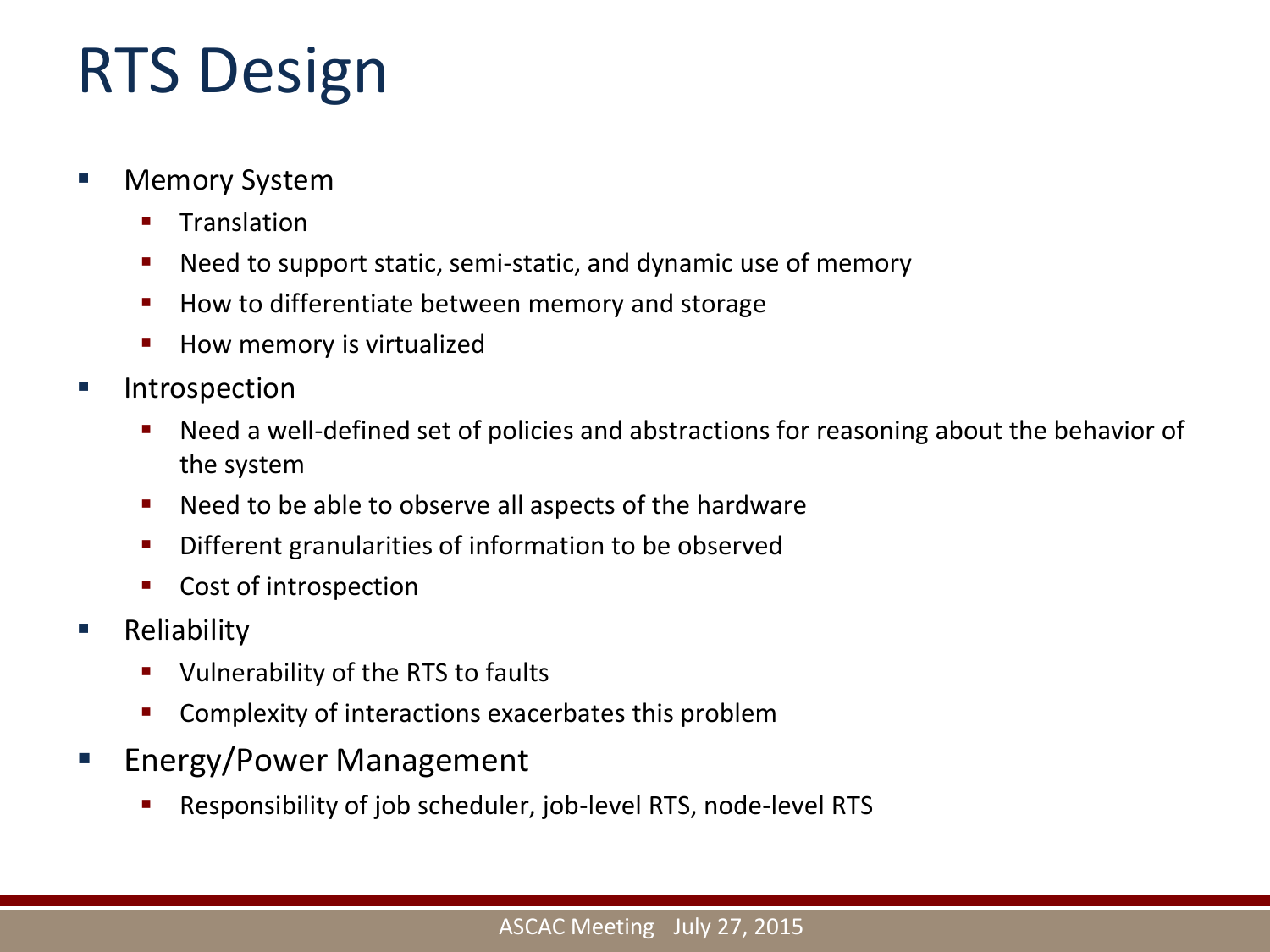# RTS Design

- Memory System
	- **Translation**
	- Need to support static, semi-static, and dynamic use of memory
	- How to differentiate between memory and storage
	- **How memory is virtualized**
- Introspection
	- Need a well-defined set of policies and abstractions for reasoning about the behavior of the system
	- Need to be able to observe all aspects of the hardware
	- **•** Different granularities of information to be observed
	- **Cost of introspection**
- **Reliability** 
	- **ULDER** Vulnerability of the RTS to faults
	- **Complexity of interactions exacerbates this problem**
- **Energy/Power Management** 
	- Responsibility of job scheduler, job-level RTS, node-level RTS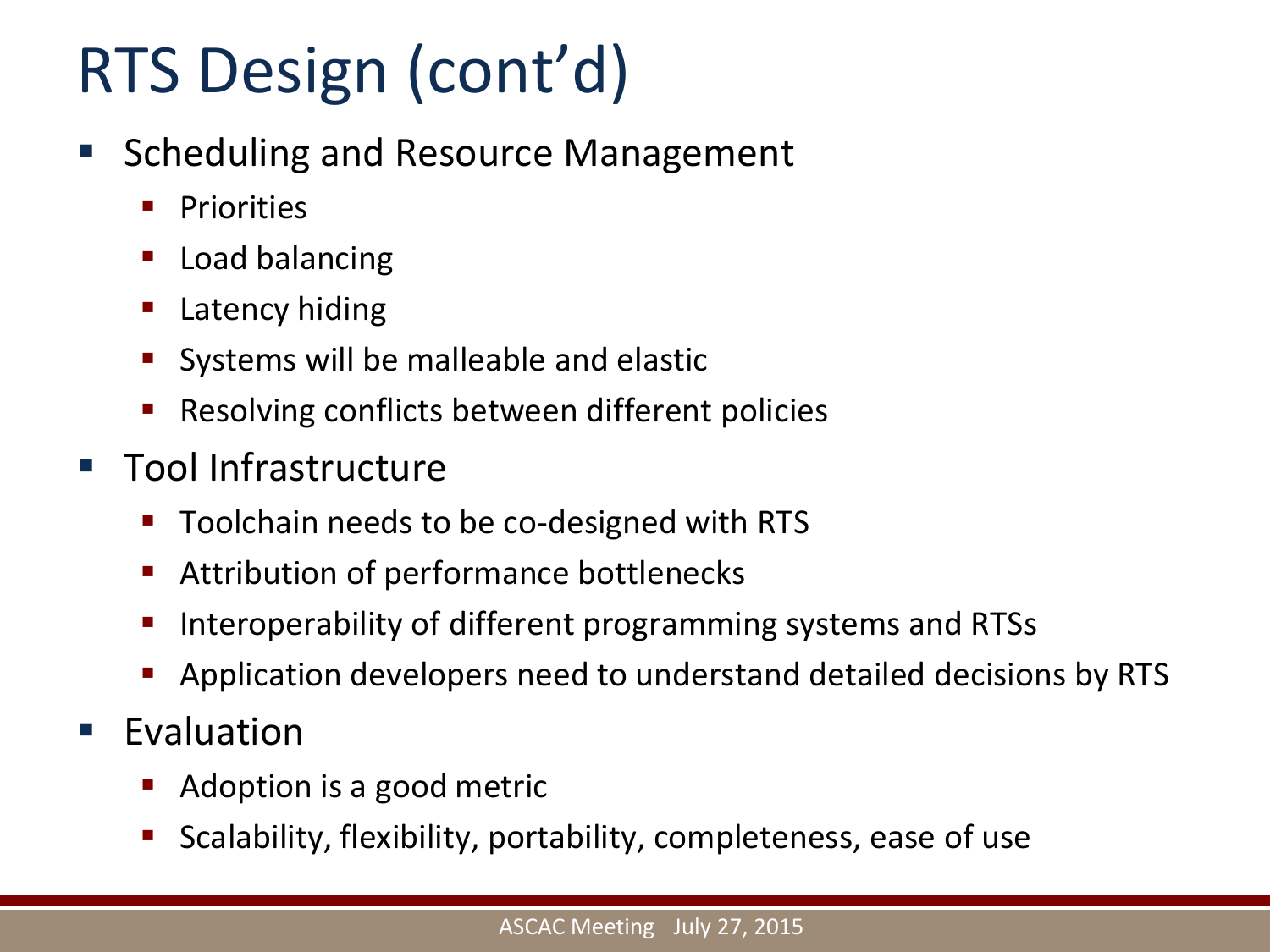# RTS Design (cont'd)

- **Scheduling and Resource Management** 
	- **Priorities**
	- Load balancing
	- **Latency hiding**
	- Systems will be malleable and elastic
	- Resolving conflicts between different policies
- **Tool Infrastructure** 
	- Toolchain needs to be co-designed with RTS
	- Attribution of performance bottlenecks
	- Interoperability of different programming systems and RTSs
	- Application developers need to understand detailed decisions by RTS
- **Evaluation** 
	- Adoption is a good metric
	- Scalability, flexibility, portability, completeness, ease of use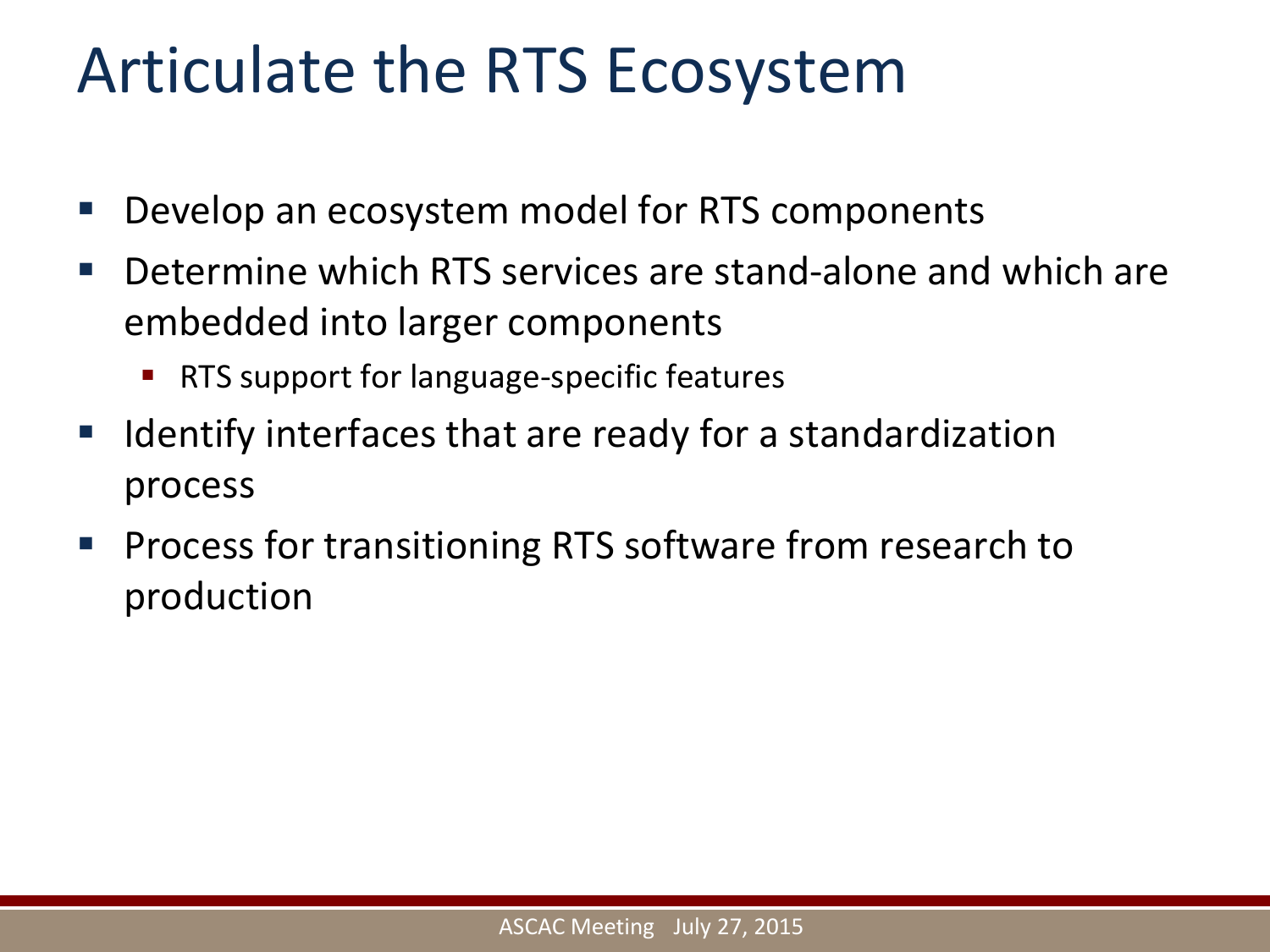#### Articulate the RTS Ecosystem

- Develop an ecosystem model for RTS components
- Determine which RTS services are stand-alone and which are embedded into larger components
	- RTS support for language-specific features
- Identify interfaces that are ready for a standardization process
- **Process for transitioning RTS software from research to** production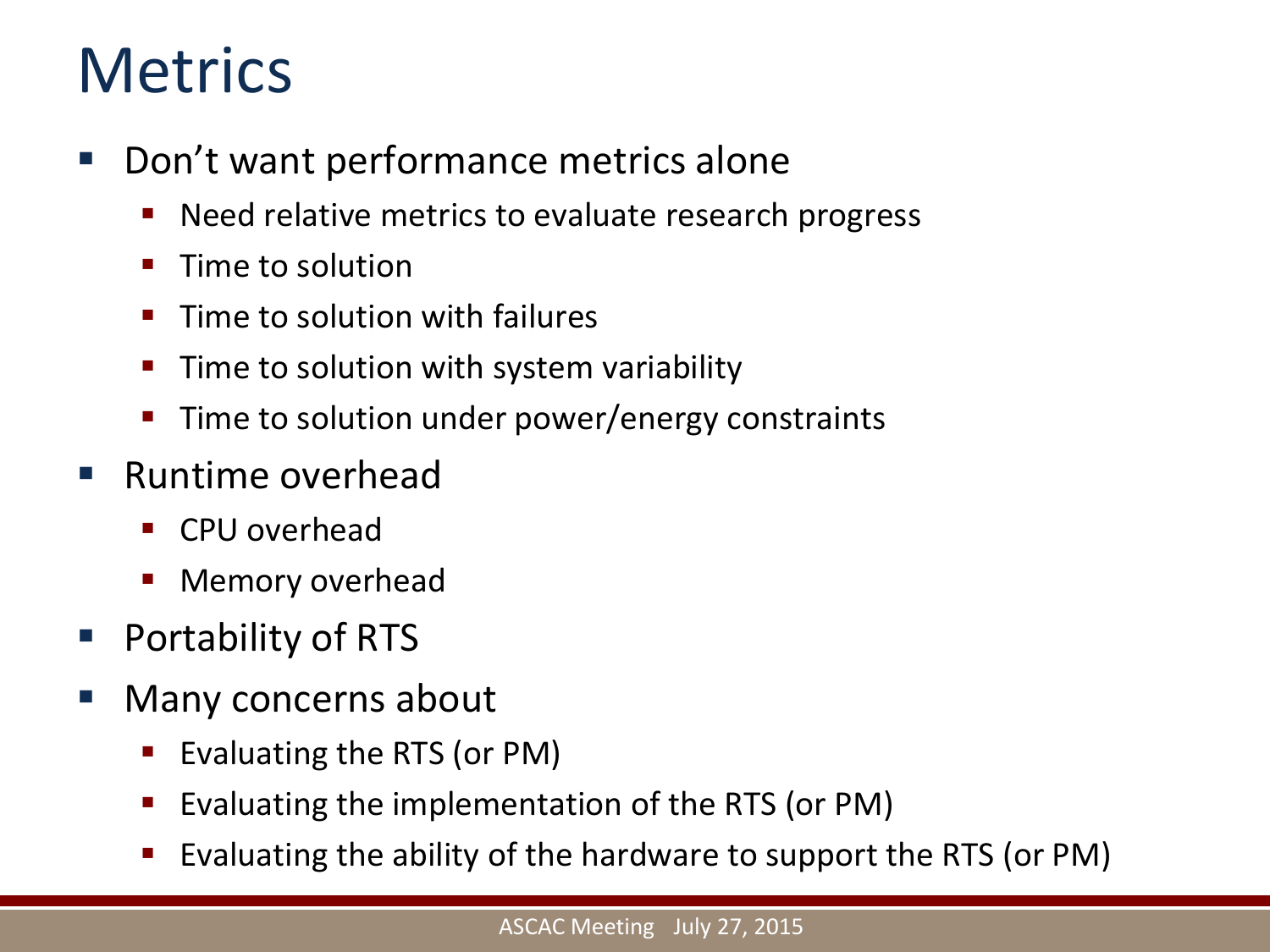#### **Metrics**

- Don't want performance metrics alone
	- Need relative metrics to evaluate research progress
	- $\blacksquare$  Time to solution
	- $\blacksquare$  Time to solution with failures
	- $\blacksquare$  Time to solution with system variability
	- Time to solution under power/energy constraints
- Runtime overhead
	- CPU overhead
	- Memory overhead
- Portability of RTS
- Many concerns about
	- Evaluating the RTS (or PM)
	- Evaluating the implementation of the RTS (or PM)
	- Evaluating the ability of the hardware to support the RTS (or PM)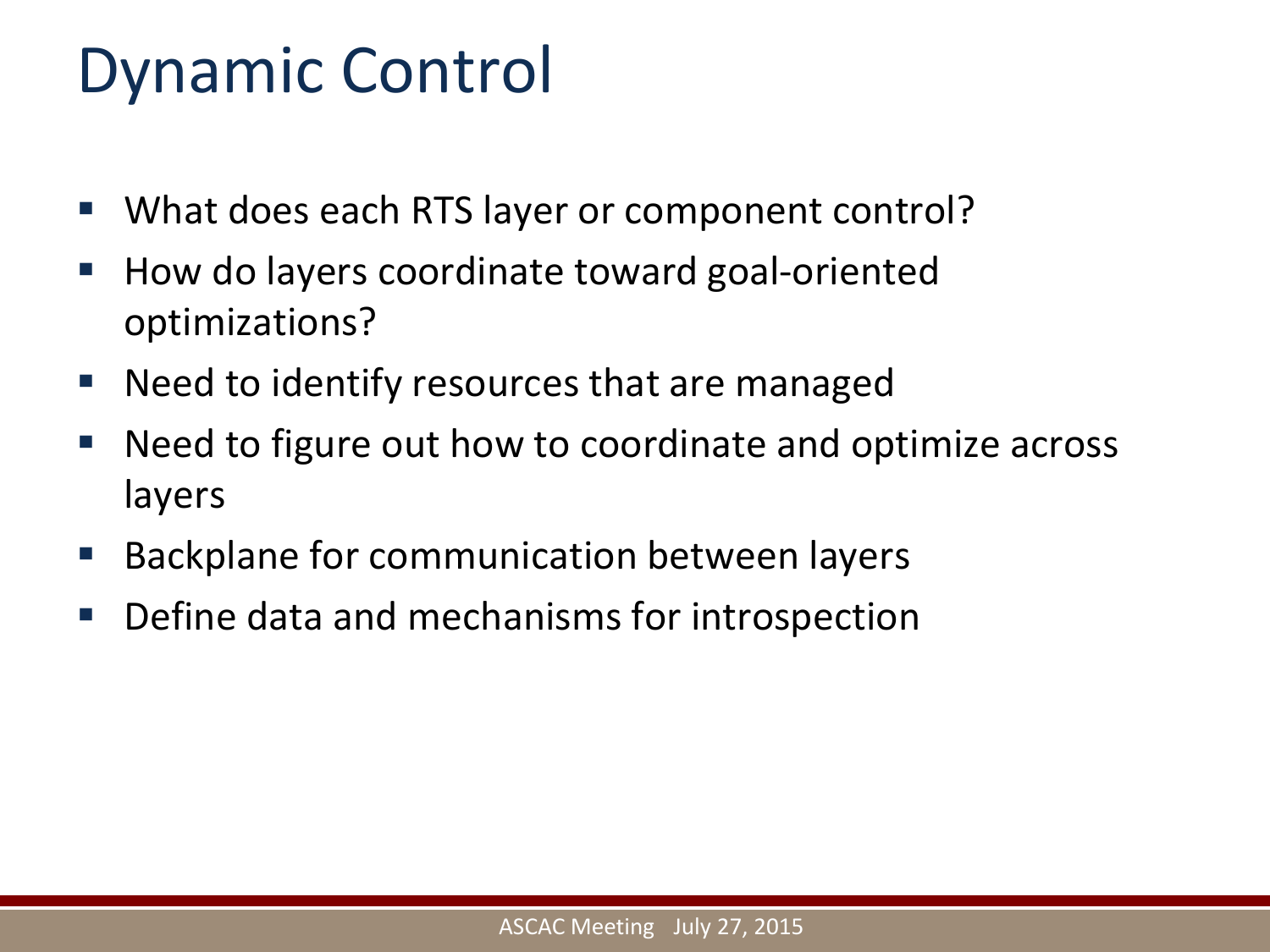#### Dynamic Control

- **What does each RTS layer or component control?**
- How do layers coordinate toward goal-oriented optimizations?
- Need to identify resources that are managed
- Need to figure out how to coordinate and optimize across layers
- **Backplane for communication between layers**
- **Define data and mechanisms for introspection**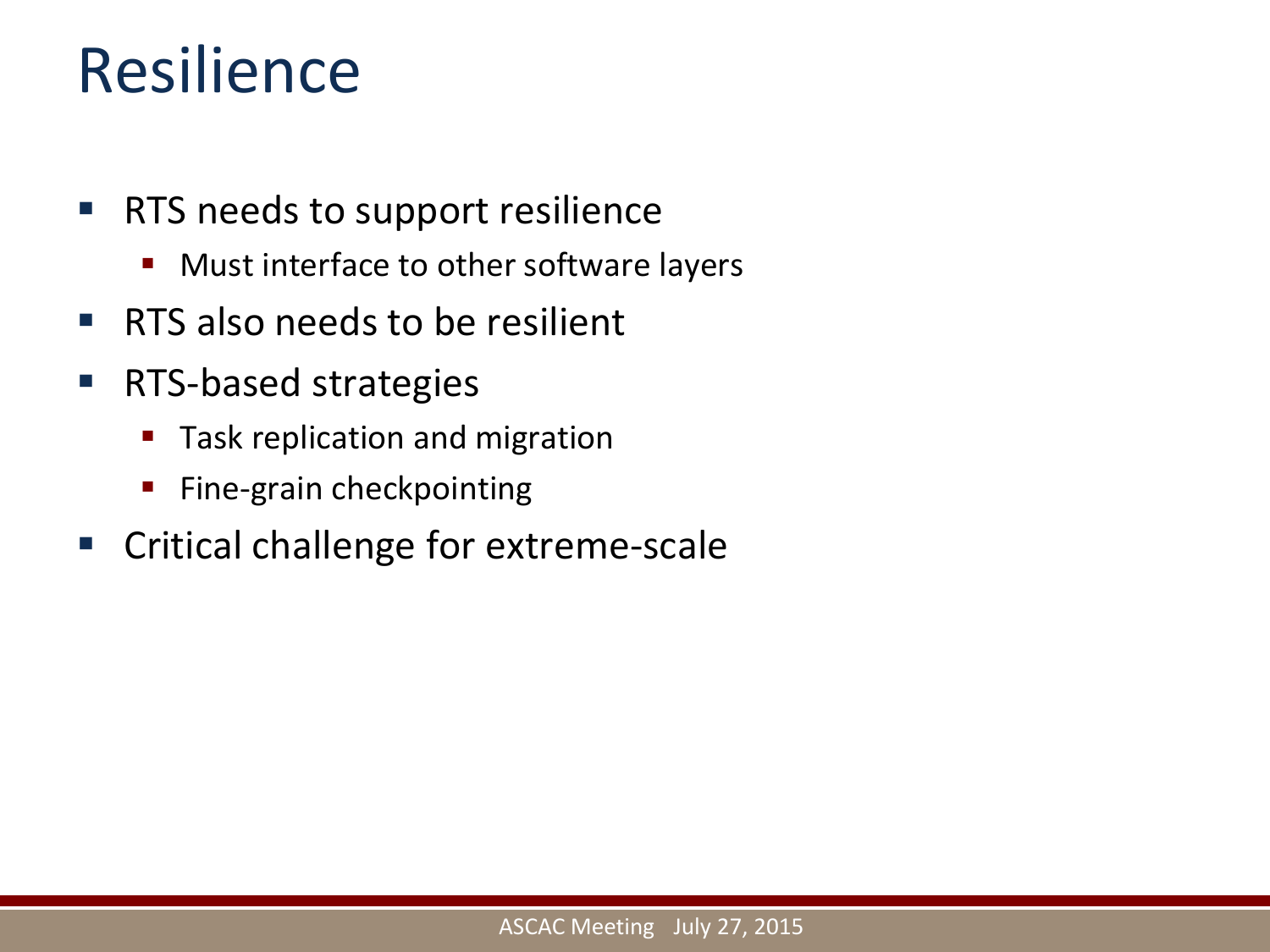#### Resilience

- **RTS needs to support resilience** 
	- **Nust interface to other software layers**
- **RTS** also needs to be resilient
- RTS-based strategies
	- **Task replication and migration**
	- **Fine-grain checkpointing**
- **EX Critical challenge for extreme-scale**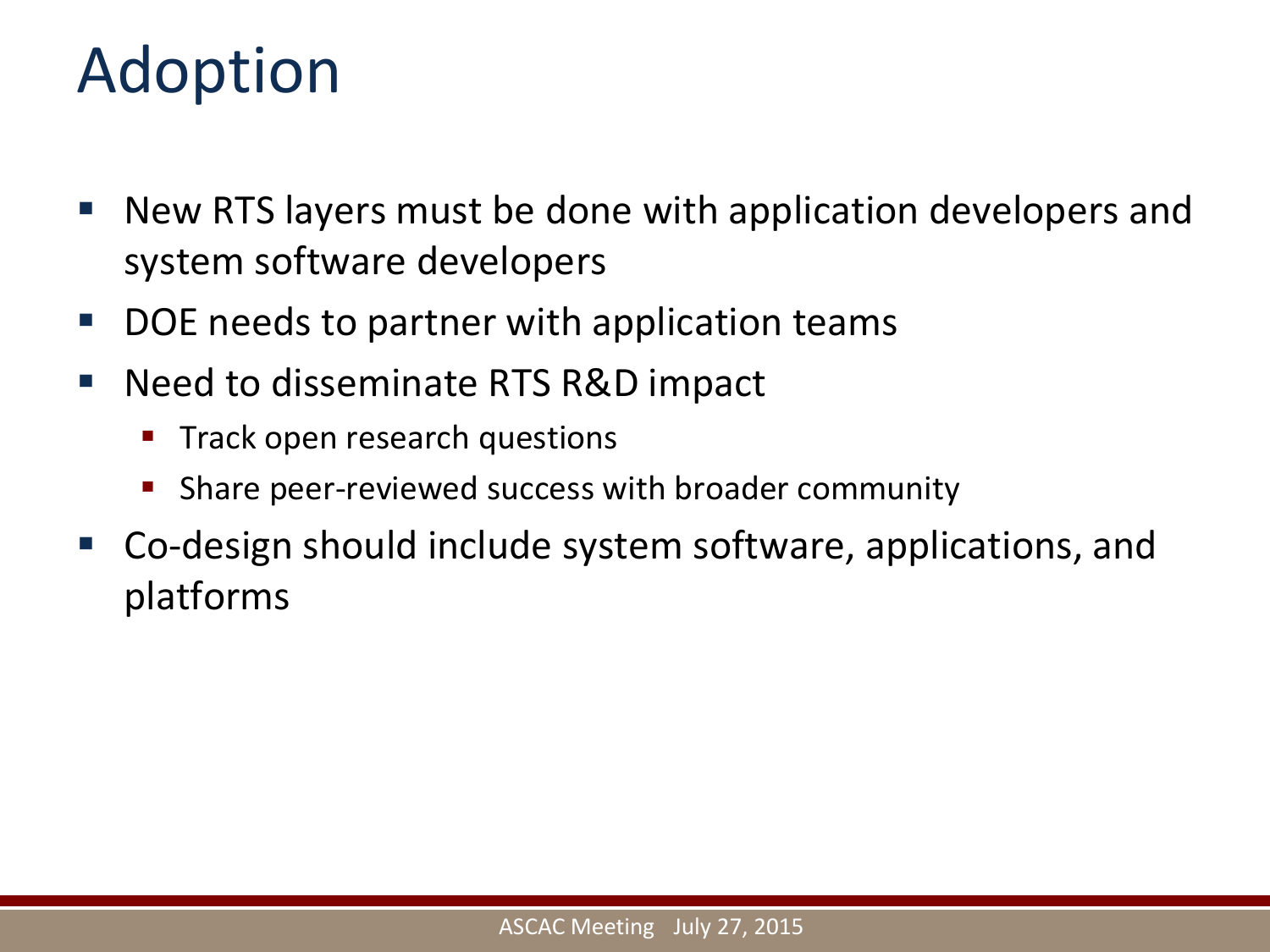#### Adoption

- New RTS layers must be done with application developers and system software developers
- DOE needs to partner with application teams
- Need to disseminate RTS R&D impact
	- Track open research questions
	- Share peer-reviewed success with broader community
- Co-design should include system software, applications, and platforms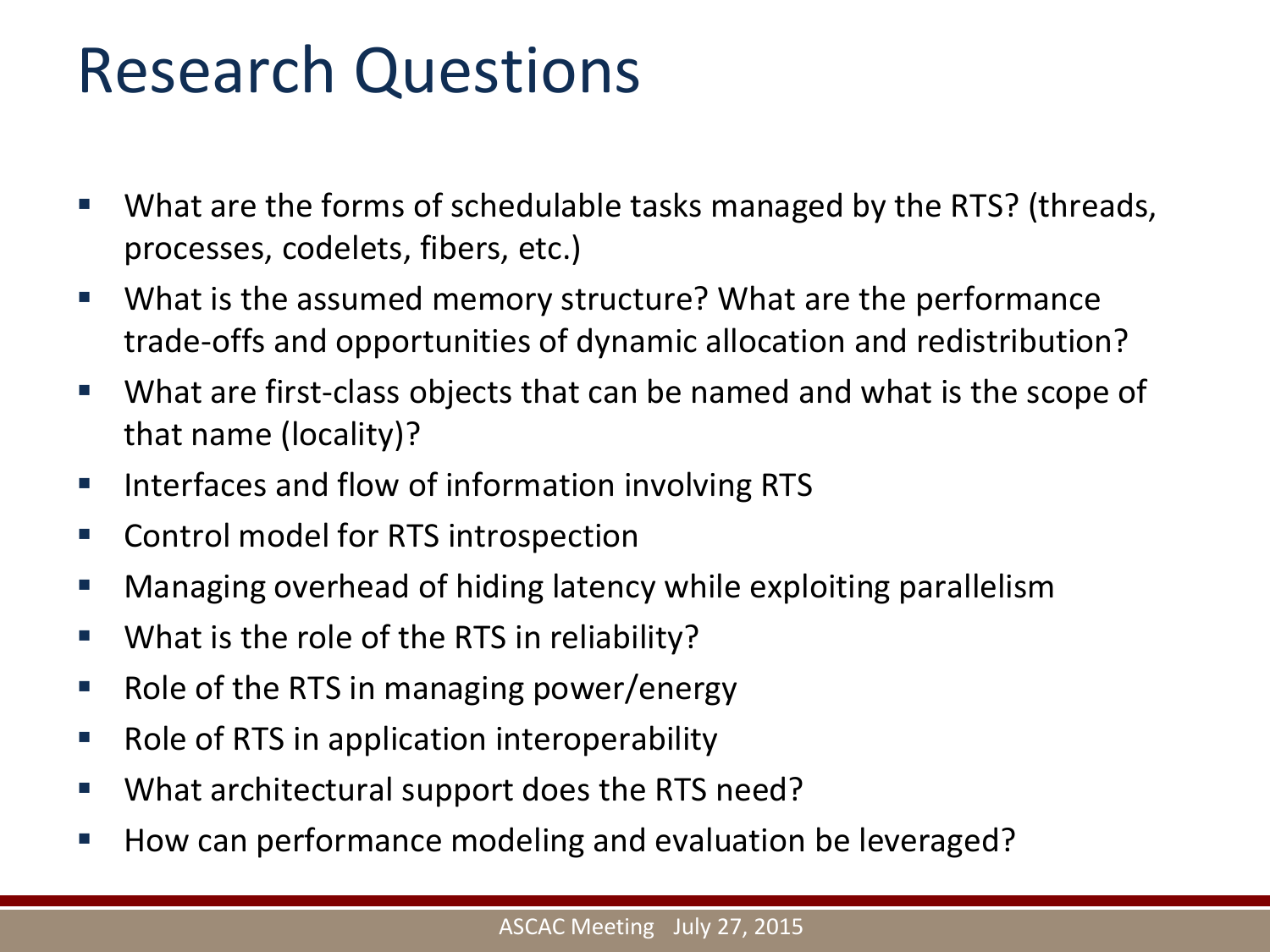#### Research Questions

- **What are the forms of schedulable tasks managed by the RTS? (threads,** processes, codelets, fibers, etc.)
- What is the assumed memory structure? What are the performance trade-offs and opportunities of dynamic allocation and redistribution?
- What are first-class objects that can be named and what is the scope of that name (locality)?
- Interfaces and flow of information involving RTS
- Control model for RTS introspection
- **Managing overhead of hiding latency while exploiting parallelism**
- **What is the role of the RTS in reliability?**
- $\blacksquare$  Role of the RTS in managing power/energy
- Role of RTS in application interoperability
- What architectural support does the RTS need?
- How can performance modeling and evaluation be leveraged?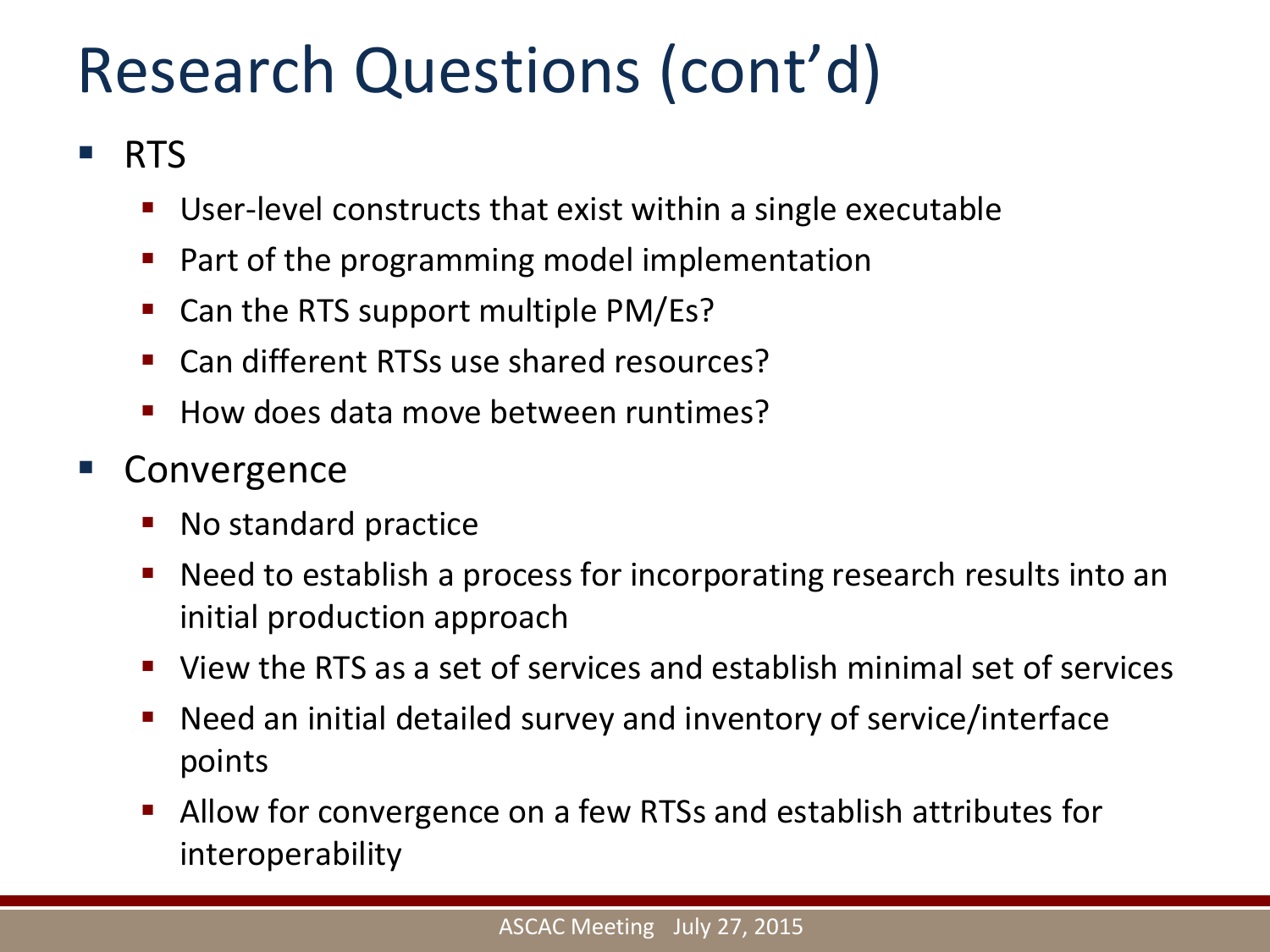## Research Questions (cont'd)

#### **RTS**

- User-level constructs that exist within a single executable
- $\blacksquare$  Part of the programming model implementation
- Can the RTS support multiple PM/Es?
- Can different RTSs use shared resources?
- $\blacksquare$  How does data move between runtimes?

#### Convergence

- No standard practice
- Need to establish a process for incorporating research results into an initial production approach
- View the RTS as a set of services and establish minimal set of services
- Need an initial detailed survey and inventory of service/interface points
- Allow for convergence on a few RTSs and establish attributes for interoperability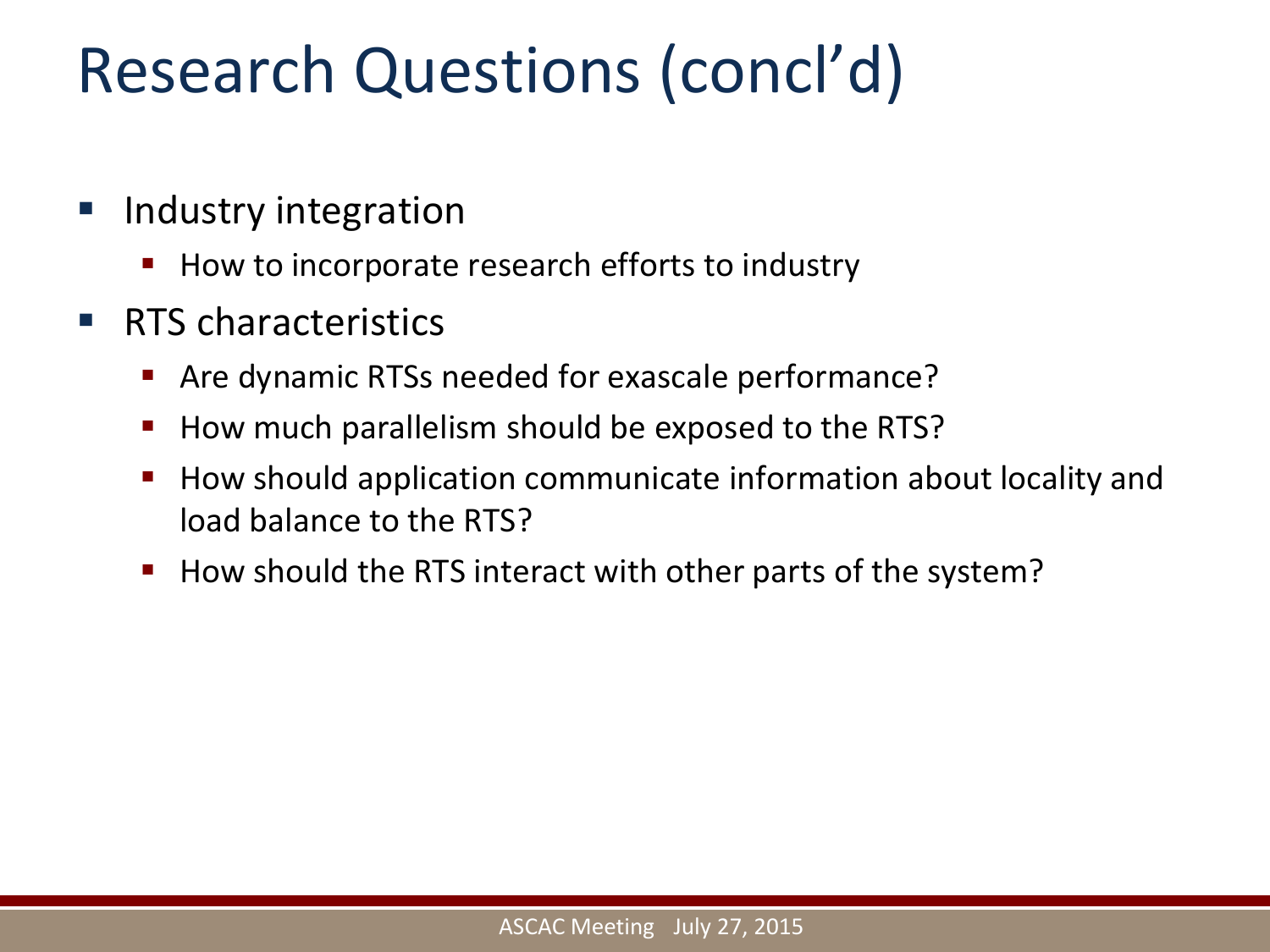### Research Questions (concl'd)

- Industry integration
	- How to incorporate research efforts to industry
- **RTS characteristics** 
	- Are dynamic RTSs needed for exascale performance?
	- How much parallelism should be exposed to the RTS?
	- How should application communicate information about locality and load balance to the RTS?
	- How should the RTS interact with other parts of the system?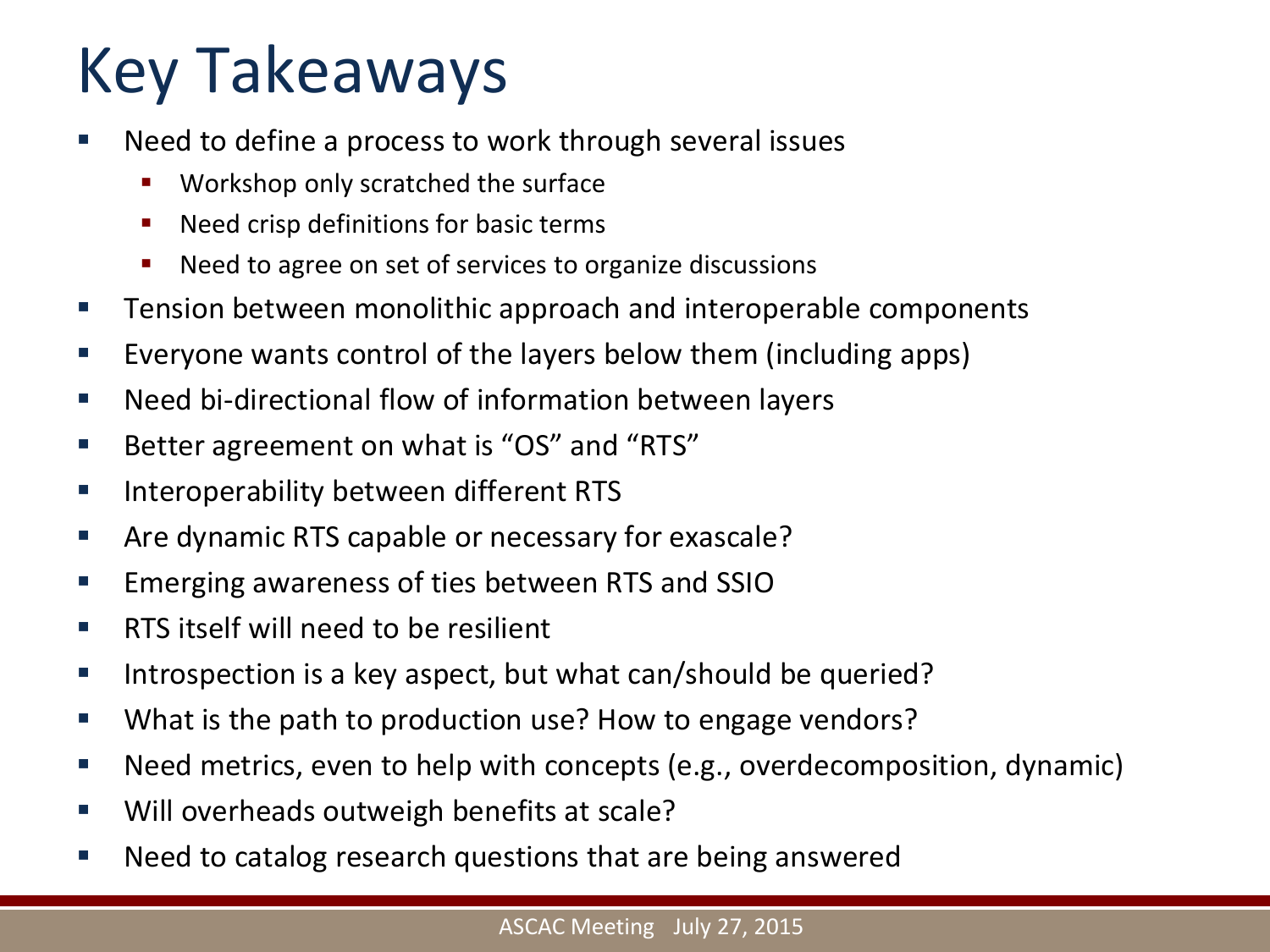## Key Takeaways

- Need to define a process to work through several issues
	- **Workshop only scratched the surface**
	- **Need crisp definitions for basic terms**
	- Need to agree on set of services to organize discussions
- **Tension between monolithic approach and interoperable components**
- **Exeryone wants control of the layers below them (including apps)**
- Need bi-directional flow of information between layers
- Better agreement on what is "OS" and "RTS"
- **Interoperability between different RTS**
- **EXTED Are dynamic RTS capable or necessary for exascale?**
- **Emerging awareness of ties between RTS and SSIO**
- **RTS** itself will need to be resilient
- Introspection is a key aspect, but what can/should be queried?
- What is the path to production use? How to engage vendors?
- Need metrics, even to help with concepts (e.g., overdecomposition, dynamic)
- Will overheads outweigh benefits at scale?
- Need to catalog research questions that are being answered